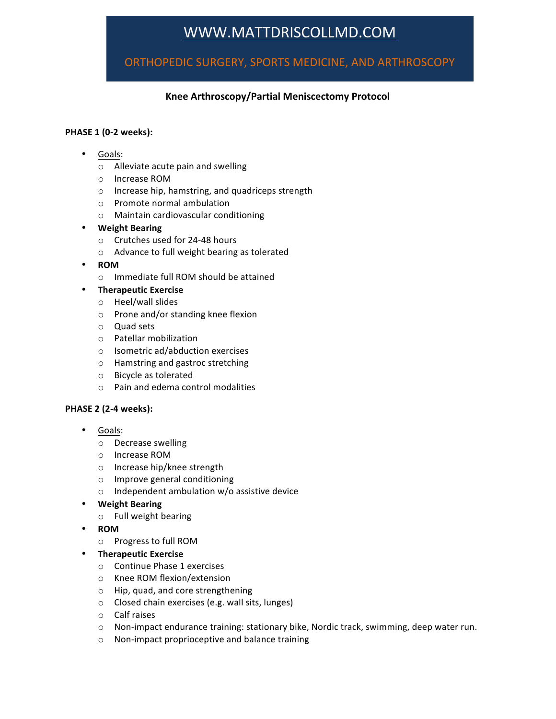# WWW.MATTDRISCOLLMD.COM

ORTHOPEDIC SURGERY, SPORTS MEDICINE, AND ARTHROSCOPY

# **Knee Arthroscopy/Partial Meniscectomy Protocol**

## **PHASE 1 (0-2 weeks):**

- Goals:
	- $\circ$  Alleviate acute pain and swelling
	- o Increase ROM
	- $\circ$  Increase hip, hamstring, and quadriceps strength
	- $\circ$  Promote normal ambulation
	- $\circ$  Maintain cardiovascular conditioning
- **Weight Bearing**
	- o Crutches used for 24-48 hours
	- $\circ$  Advance to full weight bearing as tolerated
- **ROM**
	- $\circ$  Immediate full ROM should be attained

# • **Therapeutic Exercise**

- $\circ$  Heel/wall slides
- o Prone and/or standing knee flexion
- o Quad sets
- o Patellar mobilization
- $\circ$  Isometric ad/abduction exercises
- o Hamstring and gastroc stretching
- o Bicycle as tolerated
- o Pain and edema control modalities

## **PHASE 2 (2-4 weeks):**

- Goals:
	- o Decrease swelling
	- o Increase ROM
	- o Increase hip/knee strength
	- o Improve general conditioning
	- $\circ$  Independent ambulation w/o assistive device
- **Weight Bearing**
	- o Full weight bearing
- **ROM**
	- o Progress to full ROM
- **Therapeutic Exercise**
	- o Continue Phase 1 exercises
	- o Knee ROM flexion/extension
	- o Hip, quad, and core strengthening
	- $\circ$  Closed chain exercises (e.g. wall sits, lunges)
	- $\circ$  Calf raises
	- o Non-impact endurance training: stationary bike, Nordic track, swimming, deep water run.
	- $\circ$  Non-impact proprioceptive and balance training